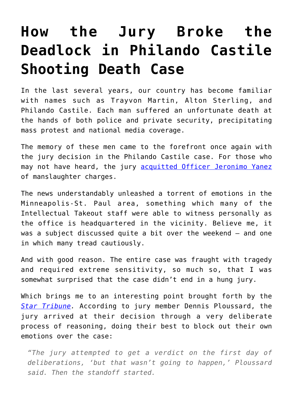## **[How the Jury Broke the](https://intellectualtakeout.org/2017/06/how-the-jury-broke-the-deadlock-in-philando-castile-shooting-death-case/) [Deadlock in Philando Castile](https://intellectualtakeout.org/2017/06/how-the-jury-broke-the-deadlock-in-philando-castile-shooting-death-case/) [Shooting Death Case](https://intellectualtakeout.org/2017/06/how-the-jury-broke-the-deadlock-in-philando-castile-shooting-death-case/)**

In the last several years, our country has become familiar with names such as Trayvon Martin, Alton Sterling, and Philando Castile. Each man suffered an unfortunate death at the hands of both police and private security, precipitating mass protest and national media coverage.

The memory of these men came to the forefront once again with the jury decision in the Philando Castile case. For those who may not have heard, the jury [acquitted Officer Jeronimo Yanez](https://www.theatlantic.com/news/archive/2017/06/jury-acquits-philando-castile/530709/) of manslaughter charges.

The news understandably unleashed a torrent of emotions in the Minneapolis-St. Paul area, something which many of the Intellectual Takeout staff were able to witness personally as the office is headquartered in the vicinity. Believe me, it was a subject discussed quite a bit over the weekend – and one in which many tread cautiously.

And with good reason. The entire case was fraught with tragedy and required extreme sensitivity, so much so, that I was somewhat surprised that the case didn't end in a hung jury.

Which brings me to an interesting point brought forth by the *[Star Tribune](http://www.startribune.com/yanez-juror-talks-about-difficult-and-emotional-deliberations/428966163/).* According to jury member Dennis Ploussard, the jury arrived at their decision through a very deliberate process of reasoning, doing their best to block out their own emotions over the case:

*"The jury attempted to get a verdict on the first day of deliberations, 'but that wasn't going to happen,' Ploussard said. Then the standoff started.*